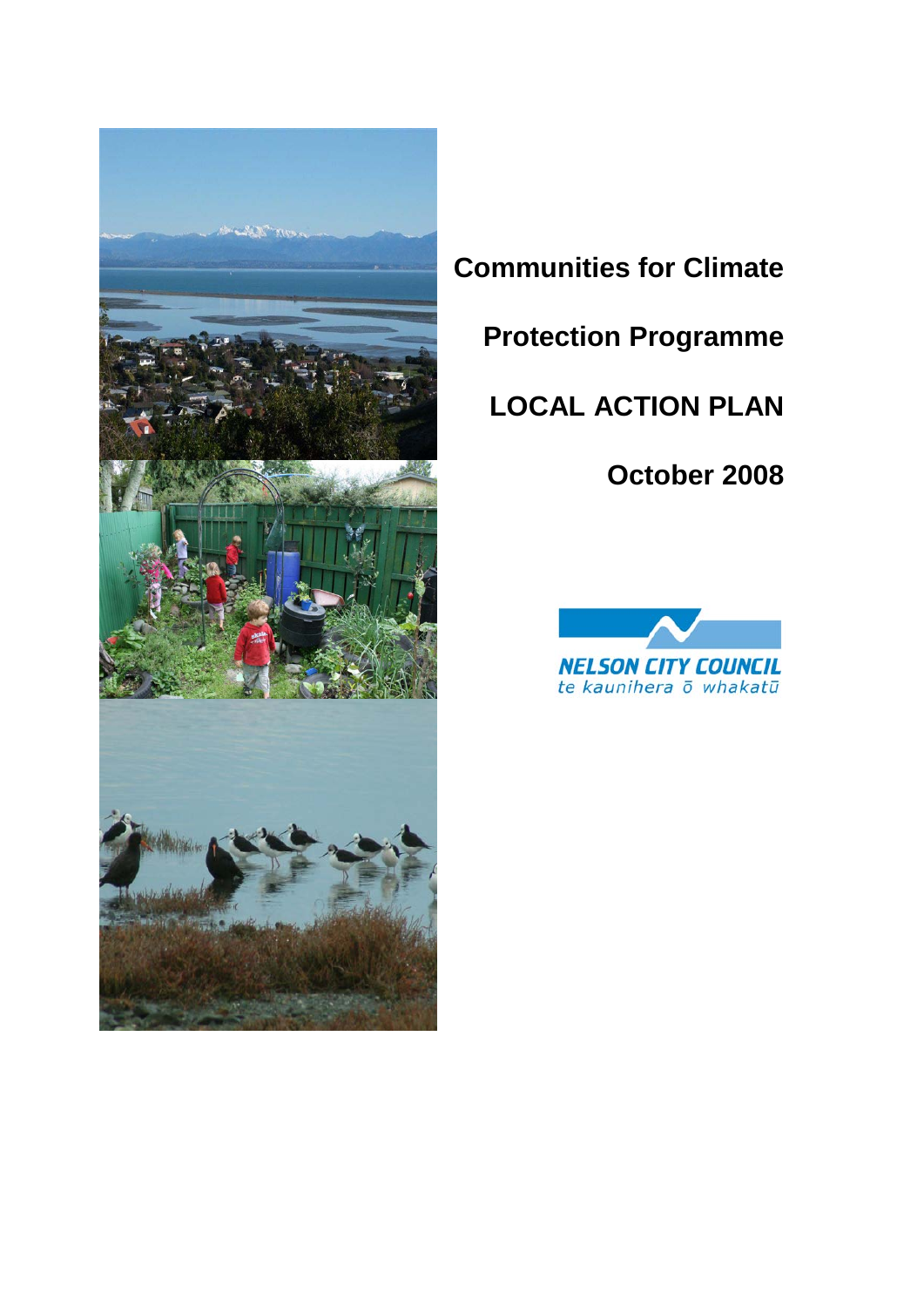

# **Communities for Climate**

**Protection Programme**

# **LOCAL ACTION PLAN**

# **October 2008**

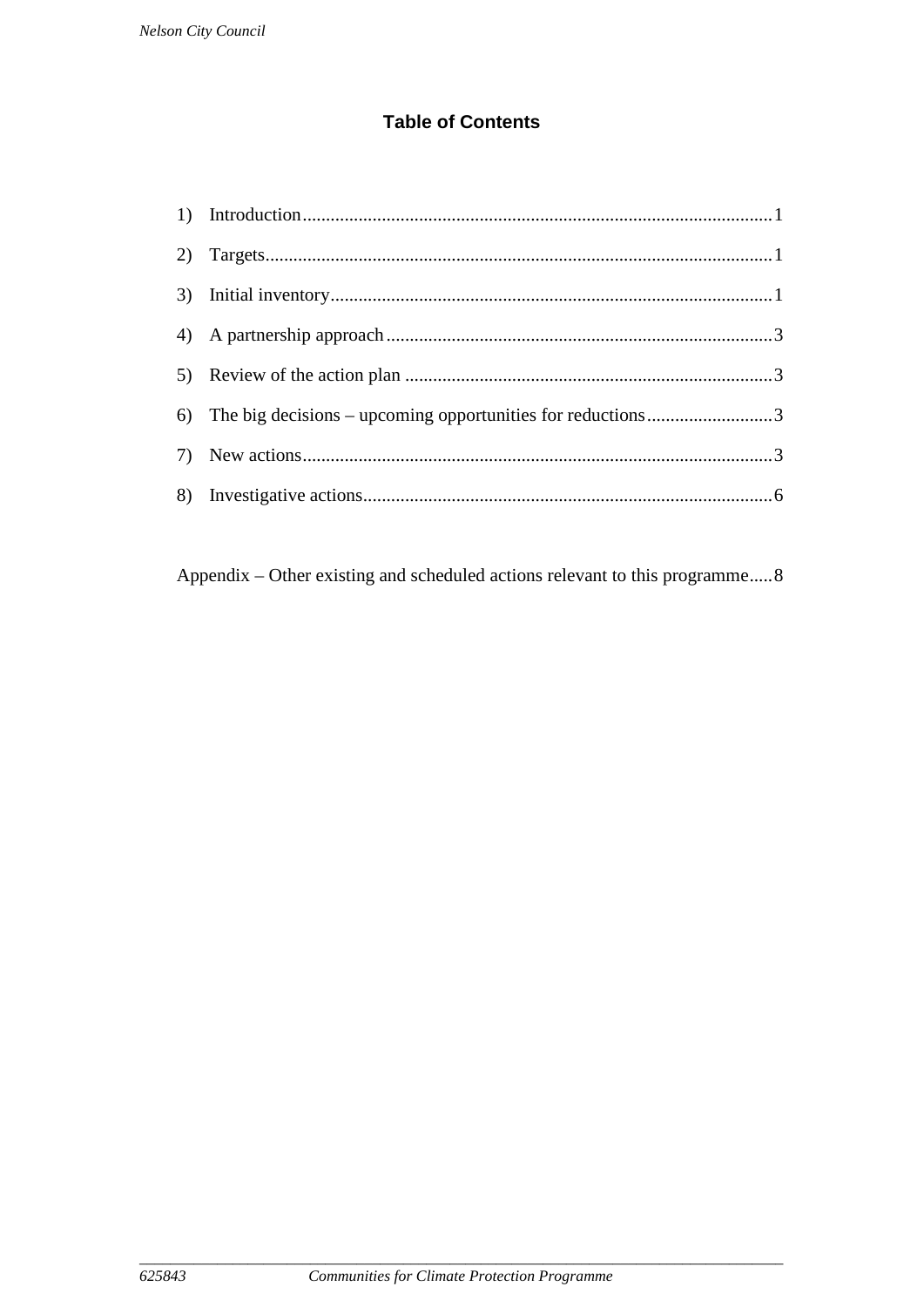#### **Table of Contents**

Appendix – Other existing and scheduled actions relevant to this programme.....8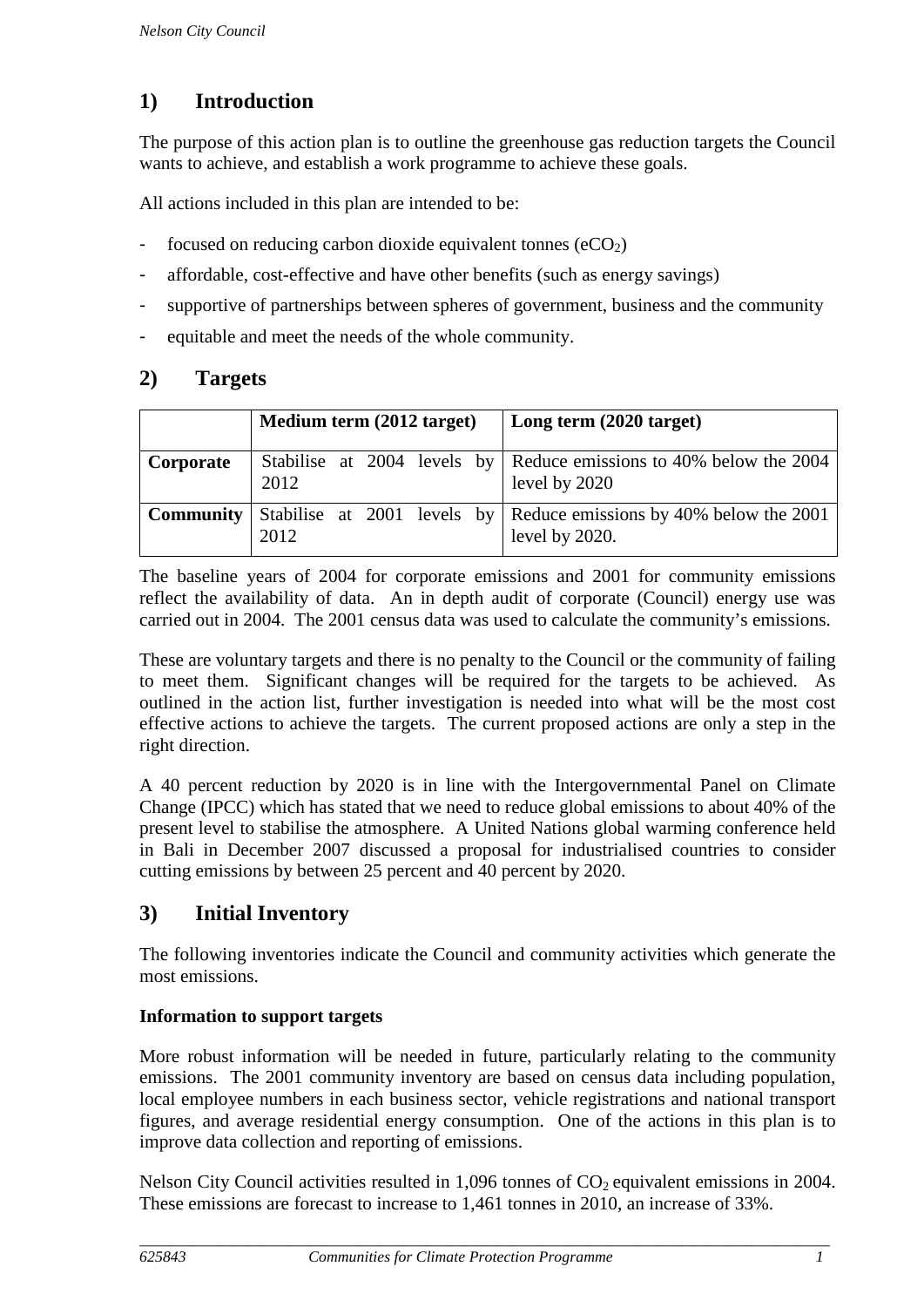## <span id="page-2-0"></span>**1) Introduction**

The purpose of this action plan is to outline the greenhouse gas reduction targets the Council wants to achieve, and establish a work programme to achieve these goals.

All actions included in this plan are intended to be:

- focused on reducing carbon dioxide equivalent tonnes  $(eCO<sub>2</sub>)$
- affordable, cost-effective and have other benefits (such as energy savings)
- supportive of partnerships between spheres of government, business and the community
- equitable and meet the needs of the whole community.

#### <span id="page-2-1"></span>**2) Targets**

|                  | Medium term (2012 target) |  |  |  | Long term (2020 target)                                                                 |
|------------------|---------------------------|--|--|--|-----------------------------------------------------------------------------------------|
| Corporate        | 2012                      |  |  |  | Stabilise at 2004 levels by Reduce emissions to 40% below the 2004<br>level by 2020     |
| <b>Community</b> | 2012                      |  |  |  | Stabilise at 2001 levels by Reduce emissions by 40% below the 2001<br>level by $2020$ . |

The baseline years of 2004 for corporate emissions and 2001 for community emissions reflect the availability of data. An in depth audit of corporate (Council) energy use was carried out in 2004. The 2001 census data was used to calculate the community's emissions.

These are voluntary targets and there is no penalty to the Council or the community of failing to meet them. Significant changes will be required for the targets to be achieved. As outlined in the action list, further investigation is needed into what will be the most cost effective actions to achieve the targets. The current proposed actions are only a step in the right direction.

A 40 percent reduction by 2020 is in line with the Intergovernmental Panel on Climate Change (IPCC) which has stated that we need to reduce global emissions to about 40% of the present level to stabilise the atmosphere. A United Nations global warming conference held in Bali in December 2007 discussed a proposal for industrialised countries to consider cutting emissions by between 25 percent and 40 percent by 2020.

#### <span id="page-2-2"></span>**3) Initial Inventory**

The following inventories indicate the Council and community activities which generate the most emissions.

#### **Information to support targets**

More robust information will be needed in future, particularly relating to the community emissions. The 2001 community inventory are based on census data including population, local employee numbers in each business sector, vehicle registrations and national transport figures, and average residential energy consumption. One of the actions in this plan is to improve data collection and reporting of emissions.

Nelson City Council activities resulted in  $1,096$  tonnes of  $CO<sub>2</sub>$  equivalent emissions in 2004. These emissions are forecast to increase to 1,461 tonnes in 2010, an increase of 33%.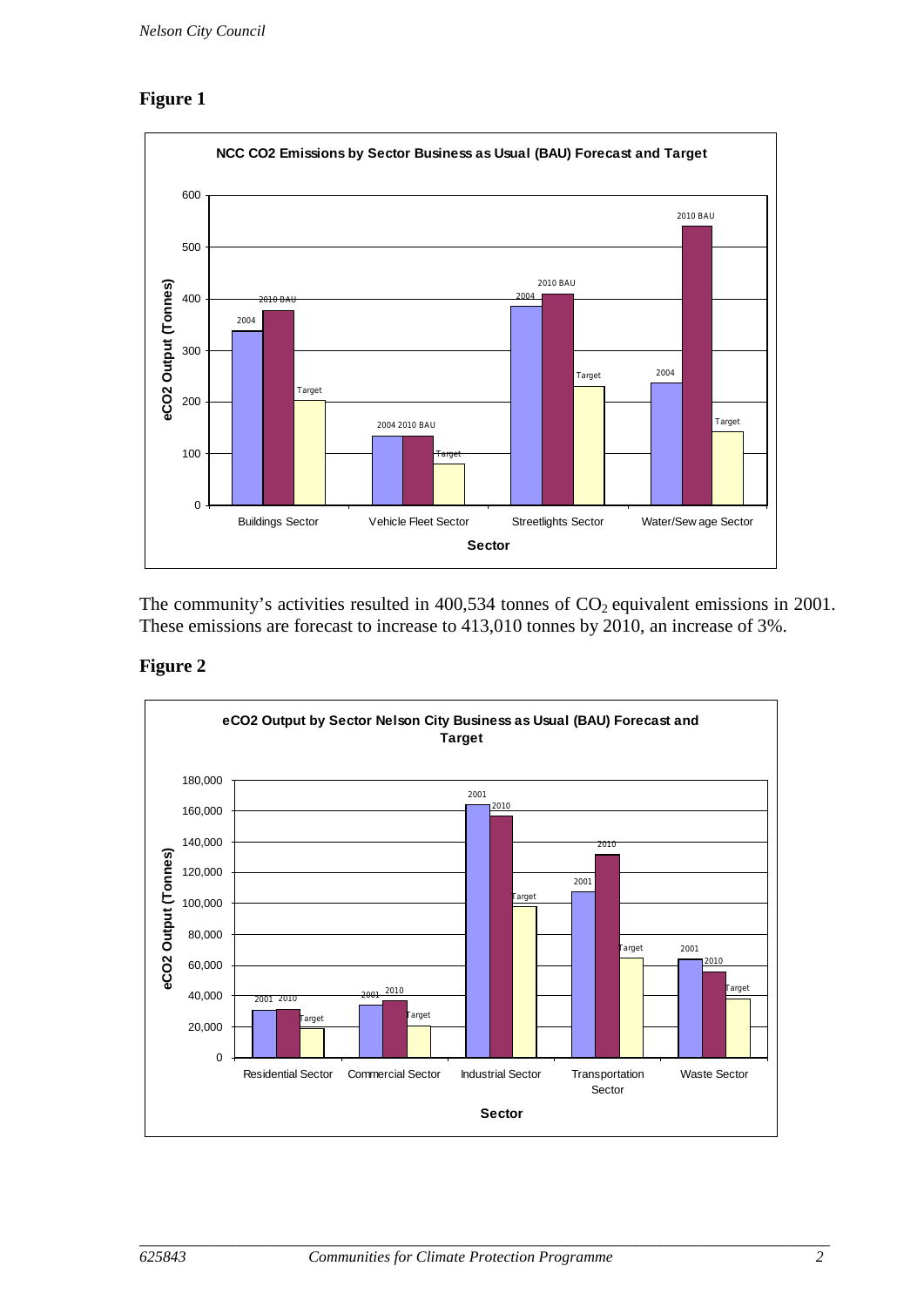#### **Figure 1**



The community's activities resulted in  $400,534$  tonnes of  $CO<sub>2</sub>$  equivalent emissions in 2001. These emissions are forecast to increase to 413,010 tonnes by 2010, an increase of 3%.

#### **Figure 2**

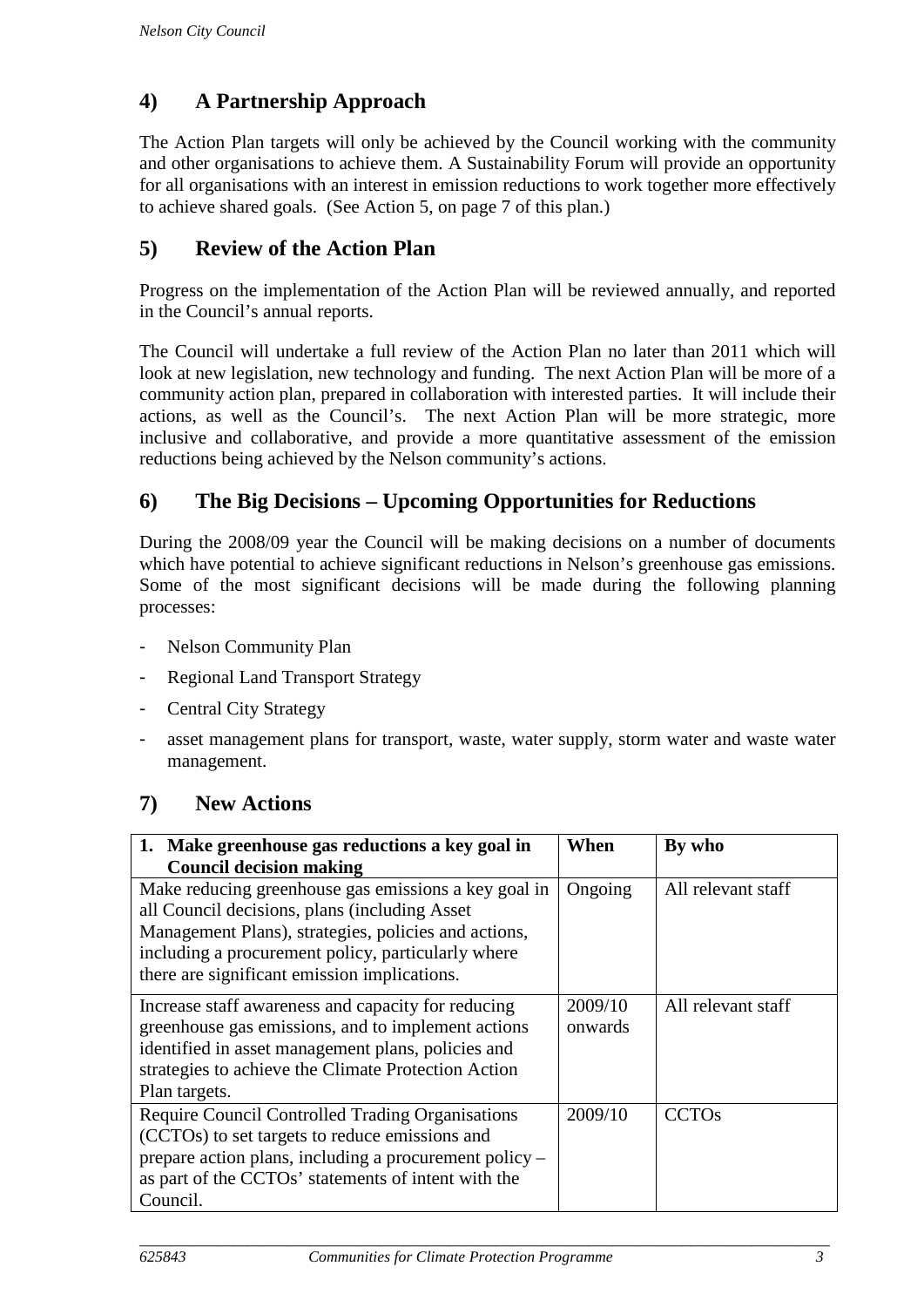### <span id="page-4-0"></span>**4) A Partnership Approach**

The Action Plan targets will only be achieved by the Council working with the community and other organisations to achieve them. A Sustainability Forum will provide an opportunity for all organisations with an interest in emission reductions to work together more effectively to achieve shared goals. (See Action 5, on page 7 of this plan.)

#### <span id="page-4-1"></span>**5) Review of the Action Plan**

Progress on the implementation of the Action Plan will be reviewed annually, and reported in the Council's annual reports.

The Council will undertake a full review of the Action Plan no later than 2011 which will look at new legislation, new technology and funding. The next Action Plan will be more of a community action plan, prepared in collaboration with interested parties. It will include their actions, as well as the Council's. The next Action Plan will be more strategic, more inclusive and collaborative, and provide a more quantitative assessment of the emission reductions being achieved by the Nelson community's actions.

#### <span id="page-4-2"></span>**6) The Big Decisions – Upcoming Opportunities for Reductions**

During the 2008/09 year the Council will be making decisions on a number of documents which have potential to achieve significant reductions in Nelson's greenhouse gas emissions. Some of the most significant decisions will be made during the following planning processes:

- Nelson Community Plan
- Regional Land Transport Strategy
- Central City Strategy
- asset management plans for transport, waste, water supply, storm water and waste water management.

#### <span id="page-4-3"></span>**7) New Actions**

| 1. Make greenhouse gas reductions a key goal in         | When    | By who             |
|---------------------------------------------------------|---------|--------------------|
| <b>Council decision making</b>                          |         |                    |
| Make reducing greenhouse gas emissions a key goal in    | Ongoing | All relevant staff |
| all Council decisions, plans (including Asset           |         |                    |
| Management Plans), strategies, policies and actions,    |         |                    |
| including a procurement policy, particularly where      |         |                    |
| there are significant emission implications.            |         |                    |
| Increase staff awareness and capacity for reducing      | 2009/10 | All relevant staff |
| greenhouse gas emissions, and to implement actions      | onwards |                    |
| identified in asset management plans, policies and      |         |                    |
| strategies to achieve the Climate Protection Action     |         |                    |
| Plan targets.                                           |         |                    |
| <b>Require Council Controlled Trading Organisations</b> | 2009/10 | <b>CCTOs</b>       |
| (CCTOs) to set targets to reduce emissions and          |         |                    |
| prepare action plans, including a procurement policy –  |         |                    |
| as part of the CCTOs' statements of intent with the     |         |                    |
| Council.                                                |         |                    |

*\_\_\_\_\_\_\_\_\_\_\_\_\_\_\_\_\_\_\_\_\_\_\_\_\_\_\_\_\_\_\_\_\_\_\_\_\_\_\_\_\_\_\_\_\_\_\_\_\_\_\_\_\_\_\_\_\_\_\_\_\_\_\_\_\_\_\_\_\_\_\_\_\_\_\_\_\_\_\_\_\_\_\_\_\_\_\_\_\_*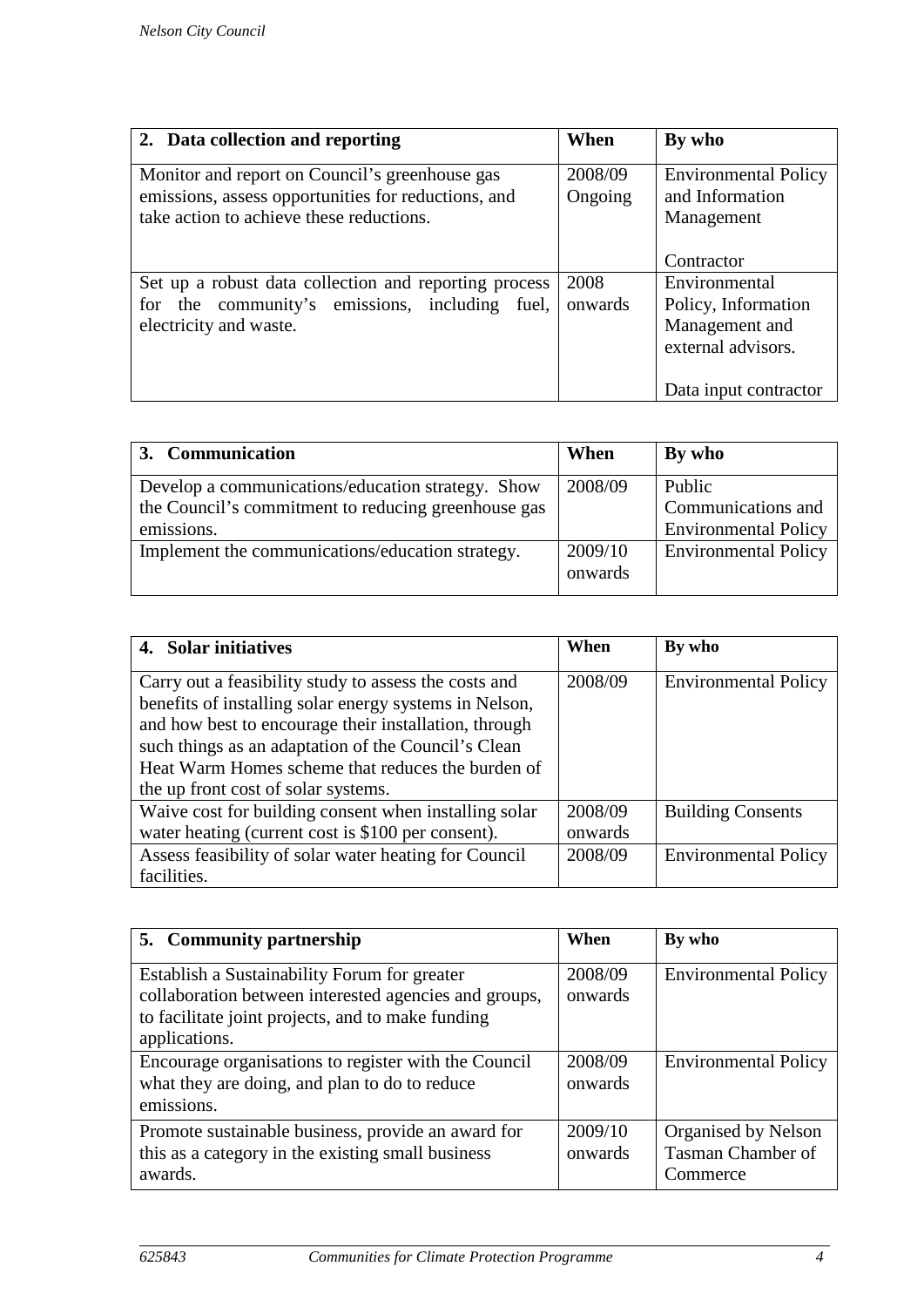| 2. Data collection and reporting                                                                                                                  | When               | By who                                                       |
|---------------------------------------------------------------------------------------------------------------------------------------------------|--------------------|--------------------------------------------------------------|
| Monitor and report on Council's greenhouse gas<br>emissions, assess opportunities for reductions, and<br>take action to achieve these reductions. | 2008/09<br>Ongoing | <b>Environmental Policy</b><br>and Information<br>Management |
|                                                                                                                                                   |                    | Contractor                                                   |
| Set up a robust data collection and reporting process                                                                                             | 2008               | Environmental                                                |
| for the community's emissions, including<br>fuel,                                                                                                 | onwards            | Policy, Information                                          |
| electricity and waste.                                                                                                                            |                    | Management and<br>external advisors.                         |
|                                                                                                                                                   |                    | Data input contractor                                        |

| 3. Communication                                    | When    | By who                      |
|-----------------------------------------------------|---------|-----------------------------|
| Develop a communications/education strategy. Show   | 2008/09 | Public                      |
| the Council's commitment to reducing greenhouse gas |         | Communications and          |
| emissions.                                          |         | <b>Environmental Policy</b> |
| Implement the communications/education strategy.    | 2009/10 | <b>Environmental Policy</b> |
|                                                     | onwards |                             |

| 4. Solar initiatives                                                                                                                                                                                                                                                                 | When    | By who                      |
|--------------------------------------------------------------------------------------------------------------------------------------------------------------------------------------------------------------------------------------------------------------------------------------|---------|-----------------------------|
| Carry out a feasibility study to assess the costs and<br>benefits of installing solar energy systems in Nelson,<br>and how best to encourage their installation, through<br>such things as an adaptation of the Council's Clean<br>Heat Warm Homes scheme that reduces the burden of | 2008/09 | <b>Environmental Policy</b> |
| the up front cost of solar systems.                                                                                                                                                                                                                                                  |         |                             |
| Waive cost for building consent when installing solar                                                                                                                                                                                                                                | 2008/09 | <b>Building Consents</b>    |
| water heating (current cost is \$100 per consent).                                                                                                                                                                                                                                   | onwards |                             |
| Assess feasibility of solar water heating for Council                                                                                                                                                                                                                                | 2008/09 | <b>Environmental Policy</b> |
| facilities.                                                                                                                                                                                                                                                                          |         |                             |

| 5. Community partnership                                                                                                                                                    | When               | By who                                                      |
|-----------------------------------------------------------------------------------------------------------------------------------------------------------------------------|--------------------|-------------------------------------------------------------|
| Establish a Sustainability Forum for greater<br>collaboration between interested agencies and groups,<br>to facilitate joint projects, and to make funding<br>applications. | 2008/09<br>onwards | <b>Environmental Policy</b>                                 |
| Encourage organisations to register with the Council<br>what they are doing, and plan to do to reduce<br>emissions.                                                         | 2008/09<br>onwards | <b>Environmental Policy</b>                                 |
| Promote sustainable business, provide an award for<br>this as a category in the existing small business<br>awards.                                                          | 2009/10<br>onwards | Organised by Nelson<br><b>Tasman Chamber of</b><br>Commerce |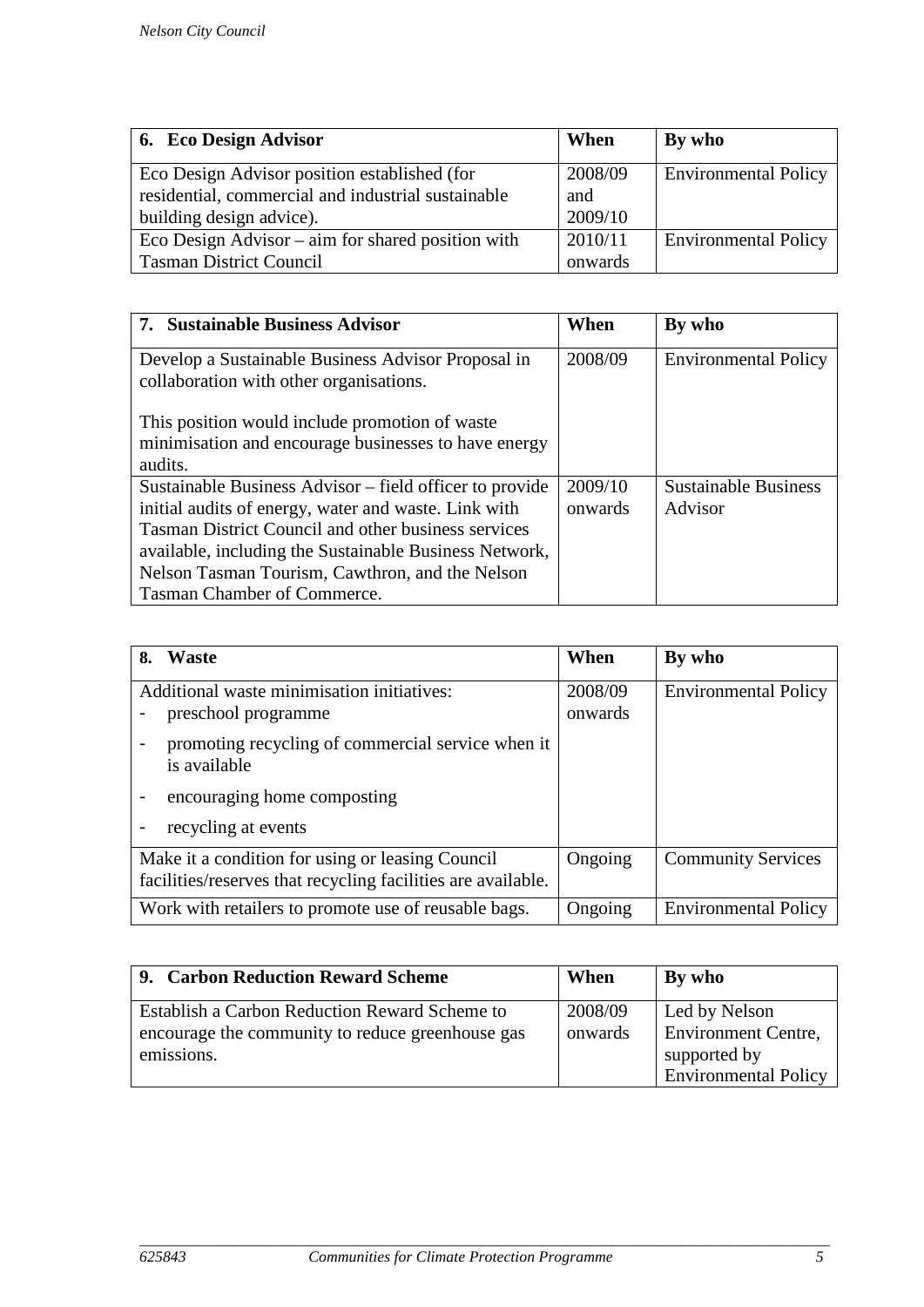| 6. Eco Design Advisor                               | When    | By who                      |
|-----------------------------------------------------|---------|-----------------------------|
| Eco Design Advisor position established (for        | 2008/09 | <b>Environmental Policy</b> |
| residential, commercial and industrial sustainable  | and     |                             |
| building design advice).                            | 2009/10 |                             |
| Eco Design Advisor $-$ aim for shared position with | 2010/11 | <b>Environmental Policy</b> |
| <b>Tasman District Council</b>                      | onwards |                             |

| 7. Sustainable Business Advisor                                                               | When    | By who                      |
|-----------------------------------------------------------------------------------------------|---------|-----------------------------|
| Develop a Sustainable Business Advisor Proposal in<br>collaboration with other organisations. | 2008/09 | <b>Environmental Policy</b> |
| This position would include promotion of waste                                                |         |                             |
| minimisation and encourage businesses to have energy                                          |         |                             |
| audits.                                                                                       |         |                             |
| Sustainable Business Advisor – field officer to provide                                       | 2009/10 | <b>Sustainable Business</b> |
| initial audits of energy, water and waste. Link with                                          | onwards | Advisor                     |
| <b>Tasman District Council and other business services</b>                                    |         |                             |
| available, including the Sustainable Business Network,                                        |         |                             |
| Nelson Tasman Tourism, Cawthron, and the Nelson                                               |         |                             |
| Tasman Chamber of Commerce.                                                                   |         |                             |

| Waste<br>8.                                                                                                      |  | When               | By who                      |
|------------------------------------------------------------------------------------------------------------------|--|--------------------|-----------------------------|
| Additional waste minimisation initiatives:<br>preschool programme                                                |  | 2008/09<br>onwards | <b>Environmental Policy</b> |
| promoting recycling of commercial service when it<br>is available                                                |  |                    |                             |
| encouraging home composting                                                                                      |  |                    |                             |
| recycling at events                                                                                              |  |                    |                             |
| Make it a condition for using or leasing Council<br>facilities/reserves that recycling facilities are available. |  | Ongoing            | <b>Community Services</b>   |
| Work with retailers to promote use of reusable bags.                                                             |  | Ongoing            | <b>Environmental Policy</b> |

| 9. Carbon Reduction Reward Scheme                | When    | By who                      |
|--------------------------------------------------|---------|-----------------------------|
| Establish a Carbon Reduction Reward Scheme to    | 2008/09 | Led by Nelson               |
| encourage the community to reduce greenhouse gas | onwards | <b>Environment Centre,</b>  |
| emissions.                                       |         | supported by                |
|                                                  |         | <b>Environmental Policy</b> |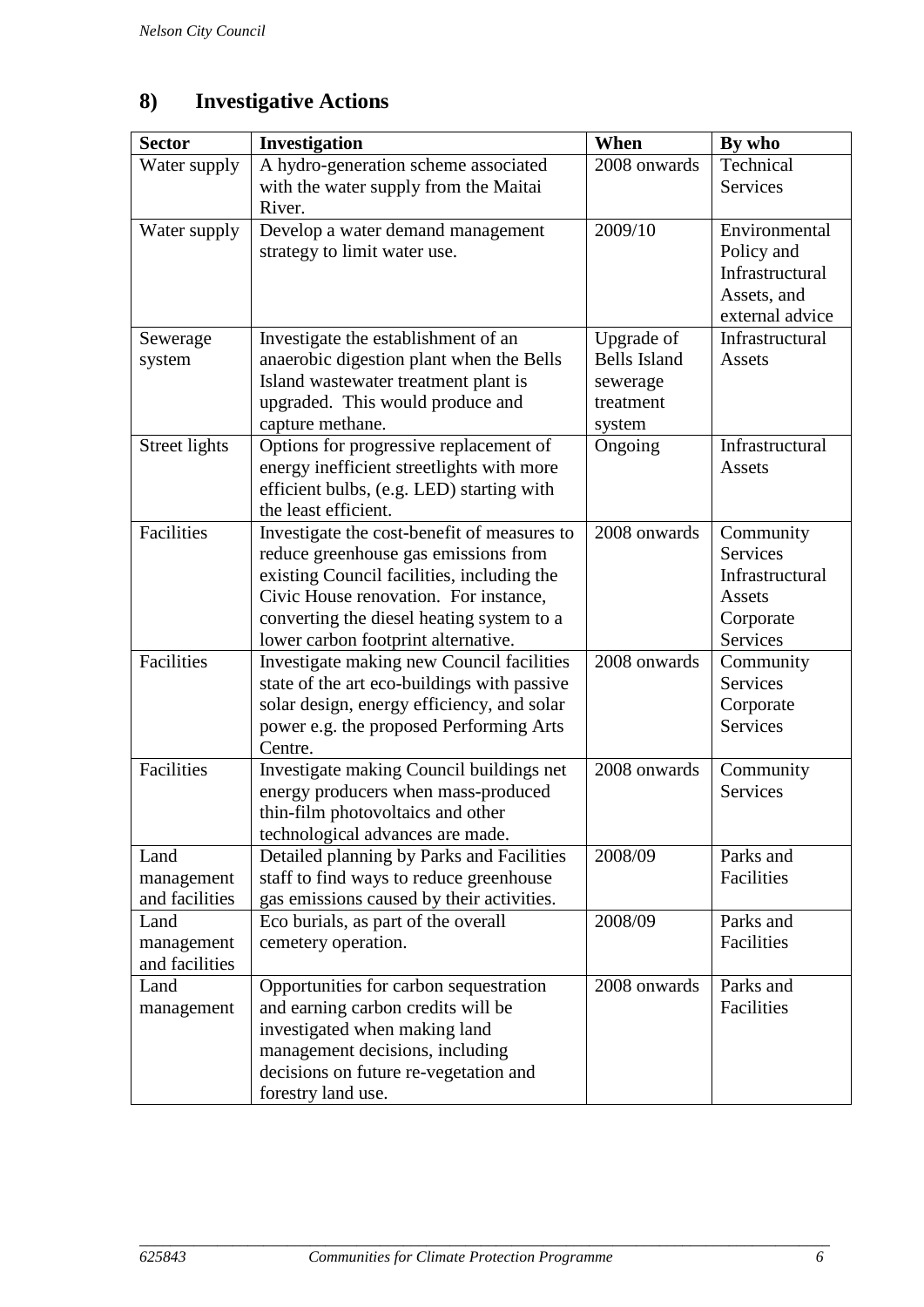## <span id="page-7-0"></span>**8) Investigative Actions**

| <b>Sector</b>                        | Investigation                                                                                                                                                                                                                                                  | When                                                                 | By who                                                                             |
|--------------------------------------|----------------------------------------------------------------------------------------------------------------------------------------------------------------------------------------------------------------------------------------------------------------|----------------------------------------------------------------------|------------------------------------------------------------------------------------|
| Water supply                         | A hydro-generation scheme associated<br>with the water supply from the Maitai<br>River.                                                                                                                                                                        | 2008 onwards                                                         | Technical<br><b>Services</b>                                                       |
| Water supply                         | Develop a water demand management<br>strategy to limit water use.                                                                                                                                                                                              | 2009/10                                                              | Environmental<br>Policy and<br>Infrastructural<br>Assets, and<br>external advice   |
| Sewerage<br>system                   | Investigate the establishment of an<br>anaerobic digestion plant when the Bells<br>Island wastewater treatment plant is<br>upgraded. This would produce and<br>capture methane.                                                                                | Upgrade of<br><b>Bells Island</b><br>sewerage<br>treatment<br>system | Infrastructural<br>Assets                                                          |
| Street lights                        | Options for progressive replacement of<br>energy inefficient streetlights with more<br>efficient bulbs, (e.g. LED) starting with<br>the least efficient.                                                                                                       | Ongoing                                                              | Infrastructural<br>Assets                                                          |
| Facilities                           | Investigate the cost-benefit of measures to<br>reduce greenhouse gas emissions from<br>existing Council facilities, including the<br>Civic House renovation. For instance,<br>converting the diesel heating system to a<br>lower carbon footprint alternative. | 2008 onwards                                                         | Community<br><b>Services</b><br>Infrastructural<br>Assets<br>Corporate<br>Services |
| Facilities                           | Investigate making new Council facilities<br>state of the art eco-buildings with passive<br>solar design, energy efficiency, and solar<br>power e.g. the proposed Performing Arts<br>Centre.                                                                   | 2008 onwards                                                         | Community<br>Services<br>Corporate<br><b>Services</b>                              |
| Facilities                           | Investigate making Council buildings net<br>energy producers when mass-produced<br>thin-film photovoltaics and other<br>technological advances are made.                                                                                                       | 2008 onwards                                                         | Community<br><b>Services</b>                                                       |
| Land<br>management<br>and facilities | Detailed planning by Parks and Facilities<br>staff to find ways to reduce greenhouse<br>gas emissions caused by their activities.                                                                                                                              | 2008/09                                                              | Parks and<br>Facilities                                                            |
| Land<br>management<br>and facilities | Eco burials, as part of the overall<br>cemetery operation.                                                                                                                                                                                                     | 2008/09                                                              | Parks and<br>Facilities                                                            |
| Land<br>management                   | Opportunities for carbon sequestration<br>and earning carbon credits will be<br>investigated when making land<br>management decisions, including<br>decisions on future re-vegetation and<br>forestry land use.                                                | 2008 onwards                                                         | Parks and<br>Facilities                                                            |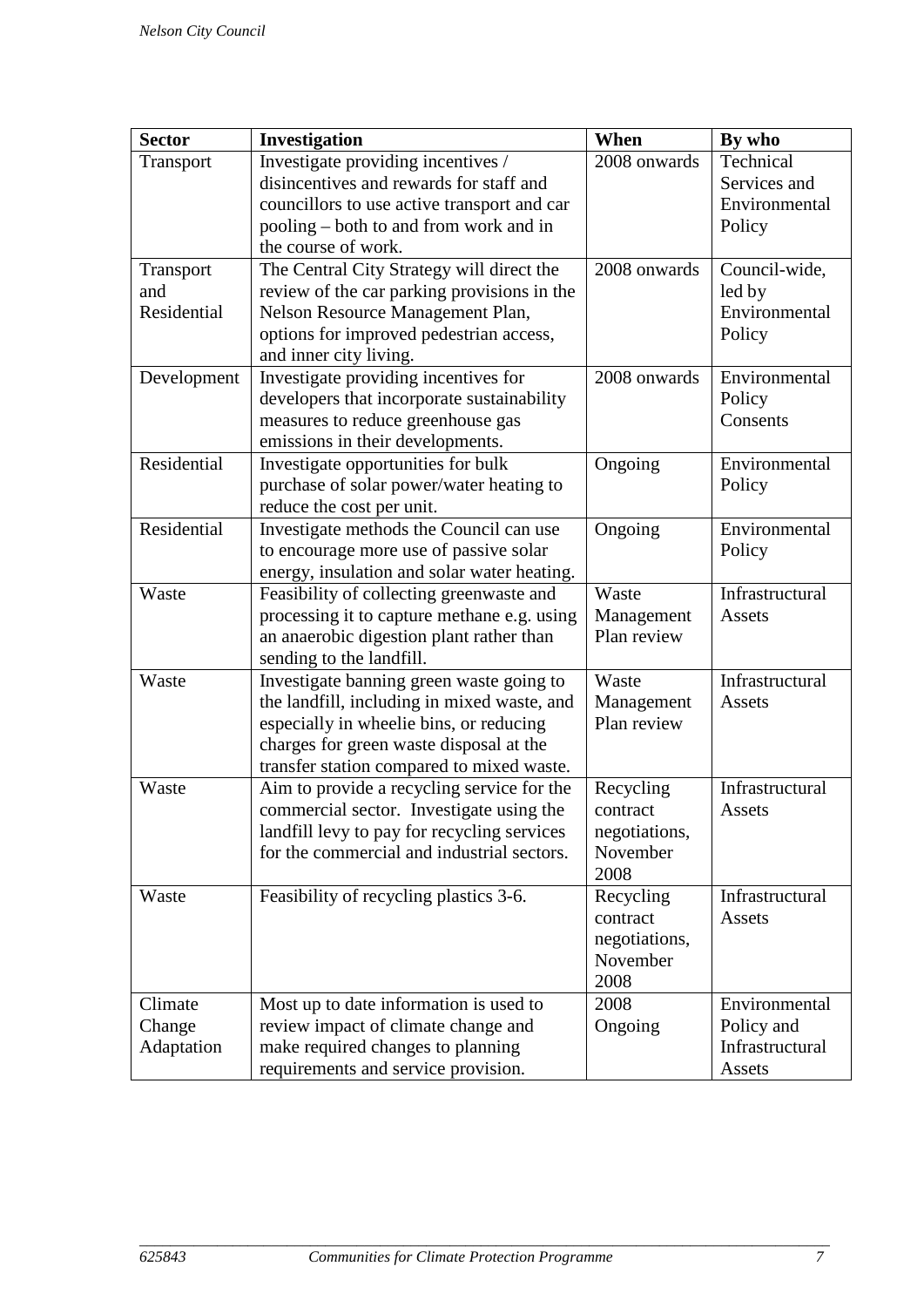<span id="page-8-0"></span>

| <b>Sector</b> | Investigation                               | When          | By who          |
|---------------|---------------------------------------------|---------------|-----------------|
| Transport     | Investigate providing incentives /          | 2008 onwards  | Technical       |
|               | disincentives and rewards for staff and     |               | Services and    |
|               | councillors to use active transport and car |               | Environmental   |
|               | pooling – both to and from work and in      |               | Policy          |
|               | the course of work.                         |               |                 |
| Transport     | The Central City Strategy will direct the   | 2008 onwards  | Council-wide,   |
| and           | review of the car parking provisions in the |               | led by          |
| Residential   | Nelson Resource Management Plan,            |               | Environmental   |
|               | options for improved pedestrian access,     |               | Policy          |
|               | and inner city living.                      |               |                 |
| Development   | Investigate providing incentives for        | 2008 onwards  | Environmental   |
|               | developers that incorporate sustainability  |               | Policy          |
|               | measures to reduce greenhouse gas           |               | Consents        |
|               | emissions in their developments.            |               |                 |
| Residential   | Investigate opportunities for bulk          | Ongoing       | Environmental   |
|               | purchase of solar power/water heating to    |               | Policy          |
|               | reduce the cost per unit.                   |               |                 |
| Residential   | Investigate methods the Council can use     | Ongoing       | Environmental   |
|               | to encourage more use of passive solar      |               | Policy          |
|               | energy, insulation and solar water heating. |               |                 |
| Waste         | Feasibility of collecting greenwaste and    | Waste         | Infrastructural |
|               | processing it to capture methane e.g. using | Management    | Assets          |
|               | an anaerobic digestion plant rather than    | Plan review   |                 |
|               | sending to the landfill.                    |               |                 |
| Waste         | Investigate banning green waste going to    | Waste         | Infrastructural |
|               | the landfill, including in mixed waste, and | Management    | Assets          |
|               | especially in wheelie bins, or reducing     | Plan review   |                 |
|               | charges for green waste disposal at the     |               |                 |
|               | transfer station compared to mixed waste.   |               |                 |
| Waste         | Aim to provide a recycling service for the  | Recycling     | Infrastructural |
|               | commercial sector. Investigate using the    | contract      | Assets          |
|               | landfill levy to pay for recycling services | negotiations, |                 |
|               | for the commercial and industrial sectors.  | November      |                 |
|               |                                             | 2008          |                 |
| Waste         | Feasibility of recycling plastics 3-6.      | Recycling     | Infrastructural |
|               |                                             | contract      | Assets          |
|               |                                             | negotiations, |                 |
|               |                                             | November      |                 |
|               |                                             | 2008          |                 |
| Climate       | Most up to date information is used to      | 2008          | Environmental   |
| Change        | review impact of climate change and         | Ongoing       | Policy and      |
| Adaptation    | make required changes to planning           |               | Infrastructural |
|               | requirements and service provision.         |               | Assets          |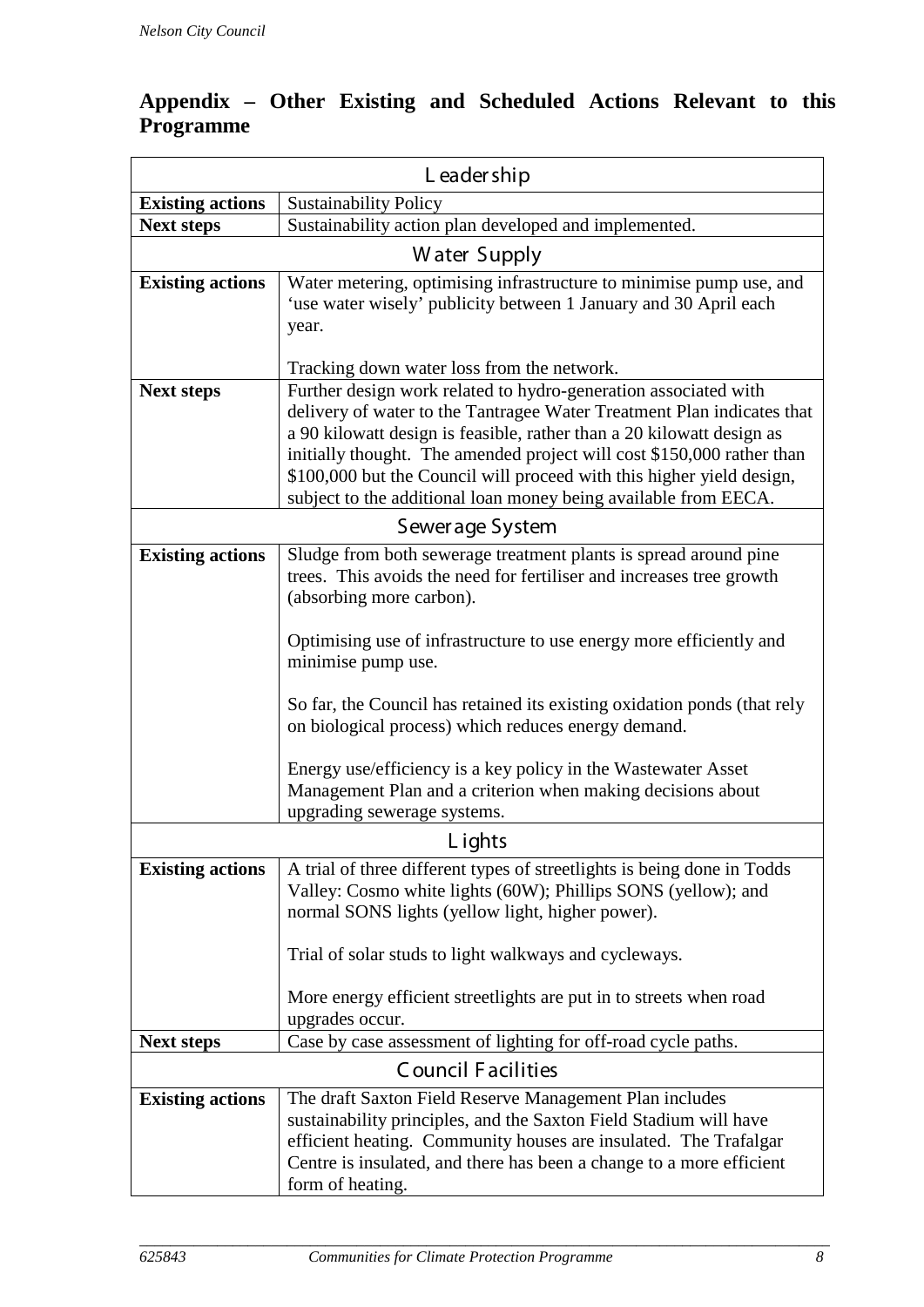### **Appendix – Other Existing and Scheduled Actions Relevant to this Programme**

| L eader ship            |                                                                                                                                                                                                                                                                                                                                                                                                                                          |  |
|-------------------------|------------------------------------------------------------------------------------------------------------------------------------------------------------------------------------------------------------------------------------------------------------------------------------------------------------------------------------------------------------------------------------------------------------------------------------------|--|
| <b>Existing actions</b> | <b>Sustainability Policy</b>                                                                                                                                                                                                                                                                                                                                                                                                             |  |
| <b>Next steps</b>       | Sustainability action plan developed and implemented.                                                                                                                                                                                                                                                                                                                                                                                    |  |
| Water Supply            |                                                                                                                                                                                                                                                                                                                                                                                                                                          |  |
| <b>Existing actions</b> | Water metering, optimising infrastructure to minimise pump use, and<br>'use water wisely' publicity between 1 January and 30 April each<br>year.<br>Tracking down water loss from the network.                                                                                                                                                                                                                                           |  |
| <b>Next steps</b>       | Further design work related to hydro-generation associated with<br>delivery of water to the Tantragee Water Treatment Plan indicates that<br>a 90 kilowatt design is feasible, rather than a 20 kilowatt design as<br>initially thought. The amended project will cost \$150,000 rather than<br>\$100,000 but the Council will proceed with this higher yield design,<br>subject to the additional loan money being available from EECA. |  |
| Sewerage System         |                                                                                                                                                                                                                                                                                                                                                                                                                                          |  |
| <b>Existing actions</b> | Sludge from both sewerage treatment plants is spread around pine<br>trees. This avoids the need for fertiliser and increases tree growth<br>(absorbing more carbon).                                                                                                                                                                                                                                                                     |  |
|                         | Optimising use of infrastructure to use energy more efficiently and<br>minimise pump use.                                                                                                                                                                                                                                                                                                                                                |  |
|                         | So far, the Council has retained its existing oxidation ponds (that rely<br>on biological process) which reduces energy demand.                                                                                                                                                                                                                                                                                                          |  |
|                         | Energy use/efficiency is a key policy in the Wastewater Asset<br>Management Plan and a criterion when making decisions about<br>upgrading sewerage systems.                                                                                                                                                                                                                                                                              |  |
|                         | L ights                                                                                                                                                                                                                                                                                                                                                                                                                                  |  |
| <b>Existing actions</b> | A trial of three different types of streetlights is being done in Todds<br>Valley: Cosmo white lights (60W); Phillips SONS (yellow); and<br>normal SONS lights (yellow light, higher power).                                                                                                                                                                                                                                             |  |
|                         | Trial of solar studs to light walkways and cycleways.                                                                                                                                                                                                                                                                                                                                                                                    |  |
|                         | More energy efficient streetlights are put in to streets when road<br>upgrades occur.                                                                                                                                                                                                                                                                                                                                                    |  |
| <b>Next steps</b>       | Case by case assessment of lighting for off-road cycle paths.                                                                                                                                                                                                                                                                                                                                                                            |  |
|                         | <b>Council Facilities</b>                                                                                                                                                                                                                                                                                                                                                                                                                |  |
| <b>Existing actions</b> | The draft Saxton Field Reserve Management Plan includes<br>sustainability principles, and the Saxton Field Stadium will have<br>efficient heating. Community houses are insulated. The Trafalgar<br>Centre is insulated, and there has been a change to a more efficient<br>form of heating.                                                                                                                                             |  |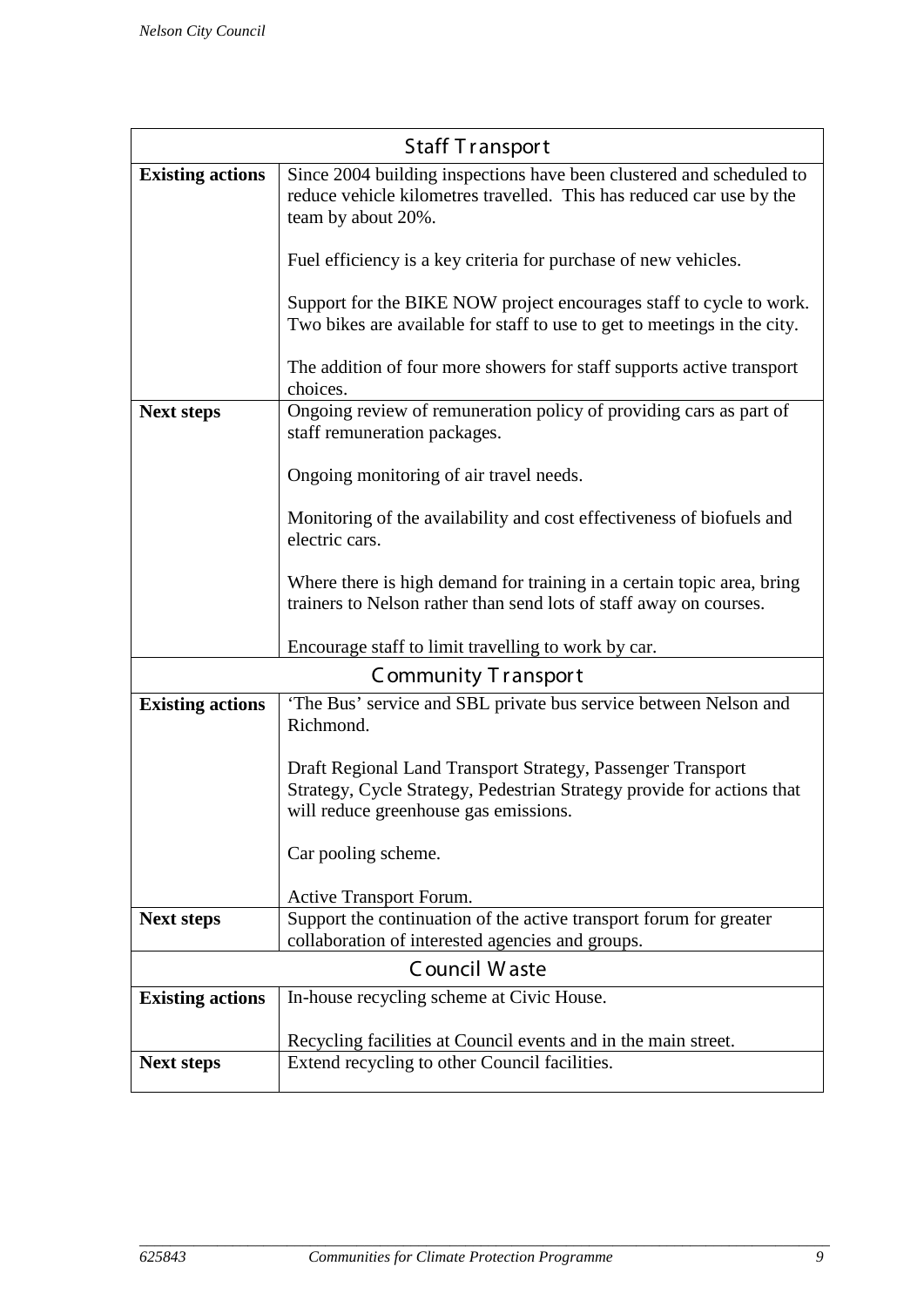| <b>Staff Transport</b>  |                                                                                                                                                                                |  |
|-------------------------|--------------------------------------------------------------------------------------------------------------------------------------------------------------------------------|--|
| <b>Existing actions</b> | Since 2004 building inspections have been clustered and scheduled to<br>reduce vehicle kilometres travelled. This has reduced car use by the<br>team by about 20%.             |  |
|                         | Fuel efficiency is a key criteria for purchase of new vehicles.                                                                                                                |  |
|                         | Support for the BIKE NOW project encourages staff to cycle to work.<br>Two bikes are available for staff to use to get to meetings in the city.                                |  |
|                         | The addition of four more showers for staff supports active transport<br>choices.                                                                                              |  |
| <b>Next steps</b>       | Ongoing review of remuneration policy of providing cars as part of<br>staff remuneration packages.                                                                             |  |
|                         | Ongoing monitoring of air travel needs.                                                                                                                                        |  |
|                         | Monitoring of the availability and cost effectiveness of biofuels and<br>electric cars.                                                                                        |  |
|                         | Where there is high demand for training in a certain topic area, bring<br>trainers to Nelson rather than send lots of staff away on courses.                                   |  |
|                         | Encourage staff to limit travelling to work by car.                                                                                                                            |  |
|                         | Community Transport                                                                                                                                                            |  |
| <b>Existing actions</b> | 'The Bus' service and SBL private bus service between Nelson and<br>Richmond.                                                                                                  |  |
|                         | Draft Regional Land Transport Strategy, Passenger Transport<br>Strategy, Cycle Strategy, Pedestrian Strategy provide for actions that<br>will reduce greenhouse gas emissions. |  |
|                         | Car pooling scheme.                                                                                                                                                            |  |
|                         | Active Transport Forum.                                                                                                                                                        |  |
| <b>Next steps</b>       | Support the continuation of the active transport forum for greater                                                                                                             |  |
|                         | collaboration of interested agencies and groups.                                                                                                                               |  |
|                         | Council Waste                                                                                                                                                                  |  |
| <b>Existing actions</b> | In-house recycling scheme at Civic House.                                                                                                                                      |  |
|                         | Recycling facilities at Council events and in the main street.                                                                                                                 |  |
| <b>Next steps</b>       | Extend recycling to other Council facilities.                                                                                                                                  |  |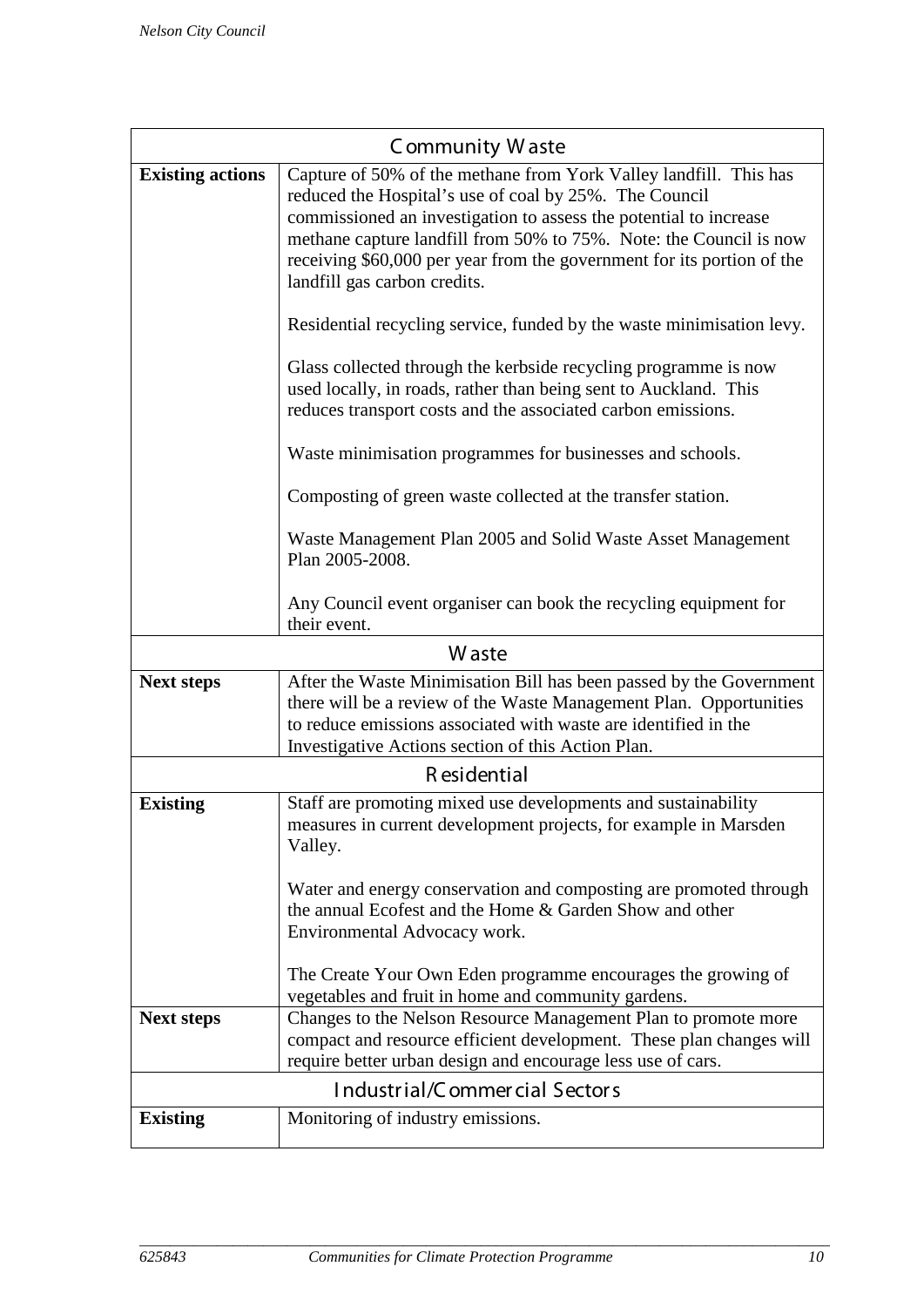|                               | Community Waste                                                                                                                                                                                                                                                                                                                                                                                                                                                                                                                                                                                                                                                                                                                                                                                                                                                                                                                                     |  |
|-------------------------------|-----------------------------------------------------------------------------------------------------------------------------------------------------------------------------------------------------------------------------------------------------------------------------------------------------------------------------------------------------------------------------------------------------------------------------------------------------------------------------------------------------------------------------------------------------------------------------------------------------------------------------------------------------------------------------------------------------------------------------------------------------------------------------------------------------------------------------------------------------------------------------------------------------------------------------------------------------|--|
| <b>Existing actions</b>       | Capture of 50% of the methane from York Valley landfill. This has<br>reduced the Hospital's use of coal by 25%. The Council<br>commissioned an investigation to assess the potential to increase<br>methane capture landfill from 50% to 75%. Note: the Council is now<br>receiving \$60,000 per year from the government for its portion of the<br>landfill gas carbon credits.<br>Residential recycling service, funded by the waste minimisation levy.<br>Glass collected through the kerbside recycling programme is now<br>used locally, in roads, rather than being sent to Auckland. This<br>reduces transport costs and the associated carbon emissions.<br>Waste minimisation programmes for businesses and schools.<br>Composting of green waste collected at the transfer station.<br>Waste Management Plan 2005 and Solid Waste Asset Management<br>Plan 2005-2008.<br>Any Council event organiser can book the recycling equipment for |  |
|                               | their event.<br>W aste                                                                                                                                                                                                                                                                                                                                                                                                                                                                                                                                                                                                                                                                                                                                                                                                                                                                                                                              |  |
| <b>Next steps</b>             | After the Waste Minimisation Bill has been passed by the Government                                                                                                                                                                                                                                                                                                                                                                                                                                                                                                                                                                                                                                                                                                                                                                                                                                                                                 |  |
|                               | there will be a review of the Waste Management Plan. Opportunities<br>to reduce emissions associated with waste are identified in the<br>Investigative Actions section of this Action Plan.                                                                                                                                                                                                                                                                                                                                                                                                                                                                                                                                                                                                                                                                                                                                                         |  |
|                               | R esidential                                                                                                                                                                                                                                                                                                                                                                                                                                                                                                                                                                                                                                                                                                                                                                                                                                                                                                                                        |  |
| <b>Existing</b>               | Staff are promoting mixed use developments and sustainability<br>measures in current development projects, for example in Marsden<br>Valley.                                                                                                                                                                                                                                                                                                                                                                                                                                                                                                                                                                                                                                                                                                                                                                                                        |  |
|                               | Water and energy conservation and composting are promoted through<br>the annual Ecofest and the Home & Garden Show and other<br>Environmental Advocacy work.                                                                                                                                                                                                                                                                                                                                                                                                                                                                                                                                                                                                                                                                                                                                                                                        |  |
|                               | The Create Your Own Eden programme encourages the growing of<br>vegetables and fruit in home and community gardens.                                                                                                                                                                                                                                                                                                                                                                                                                                                                                                                                                                                                                                                                                                                                                                                                                                 |  |
| <b>Next steps</b>             | Changes to the Nelson Resource Management Plan to promote more<br>compact and resource efficient development. These plan changes will<br>require better urban design and encourage less use of cars.                                                                                                                                                                                                                                                                                                                                                                                                                                                                                                                                                                                                                                                                                                                                                |  |
| Industrial/Commercial Sectors |                                                                                                                                                                                                                                                                                                                                                                                                                                                                                                                                                                                                                                                                                                                                                                                                                                                                                                                                                     |  |
| <b>Existing</b>               | Monitoring of industry emissions.                                                                                                                                                                                                                                                                                                                                                                                                                                                                                                                                                                                                                                                                                                                                                                                                                                                                                                                   |  |